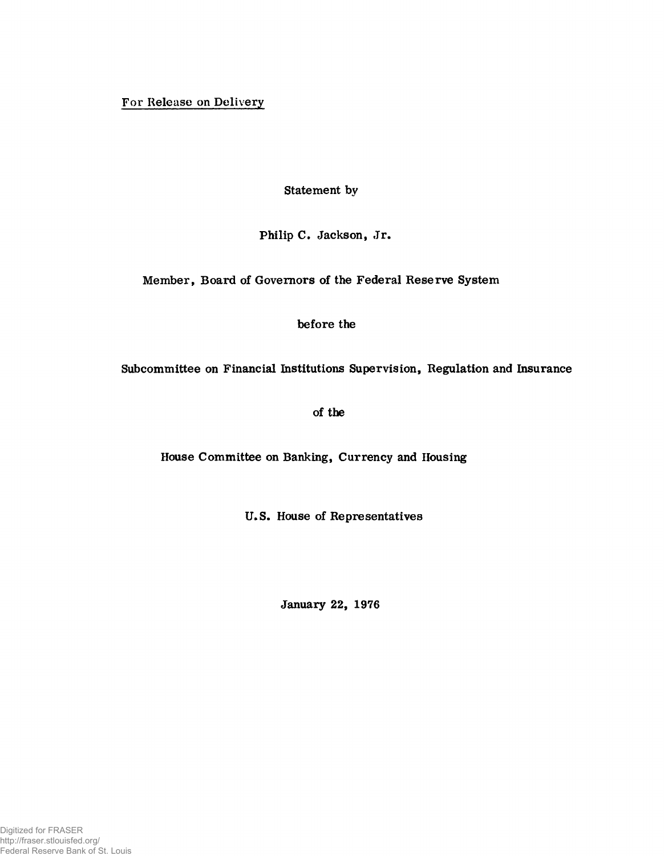For Release on Delivery

**Statement by**

**Philip C. Jackson, Jr.**

**Member, Board of Governors of the Federal Reserve System**

**before the**

**Subcommittee on Financial Institutions Supervision, Regulation and Insurance**

**of the**

**House Committee on Banking, Currency and Housing**

**U. S. House of Representatives**

**January 22, 1976**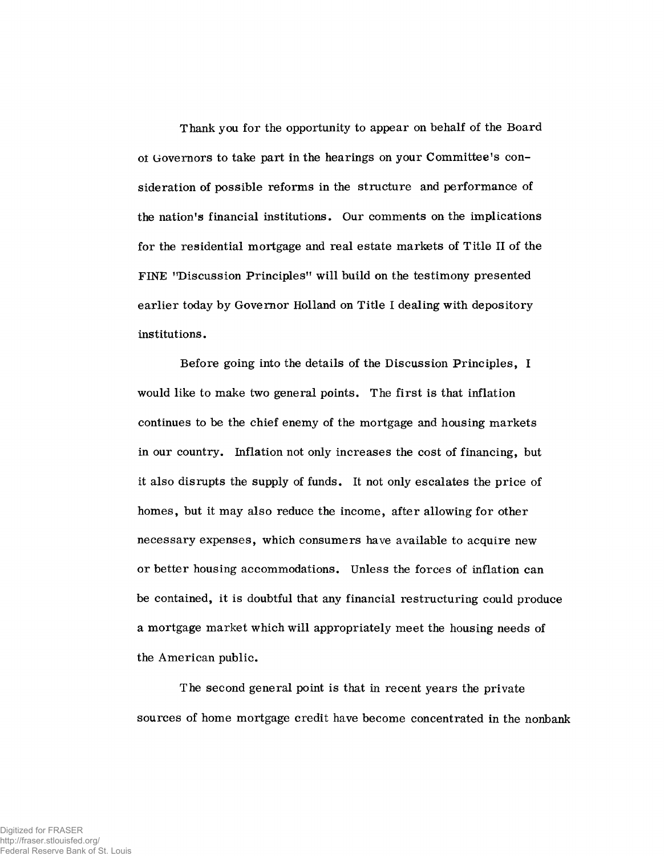T hank you for the opportunity to appear on behalf of the Board of Governors to take part in the hearings on your Committee's consideration of possible reforms in the structure and performance of the nation's financial institutions. Our comments on the implications for the residential mortgage and real estate markets of Title II of the FINE "Discussion Principles" will build on the testimony presented earlier today by Governor Holland on Title I dealing with depository institutions.

Before going into the details of the Discussion Principles, I would like to make two general points. The first is that inflation continues to be the chief enemy of the mortgage and housing markets in our country. Inflation not only increases the cost of financing, but it also disrupts the supply of funds. It not only escalates the price of homes, but it may also reduce the income, after allowing for other necessary expenses, which consumers have available to acquire new or better housing accommodations. Unless the forces of inflation can be contained, it is doubtful that any financial restructuring could produce a mortgage market which will appropriately meet the housing needs of the American public.

The second general point is that in recent years the private sources of home mortgage credit have become concentrated in the nonbank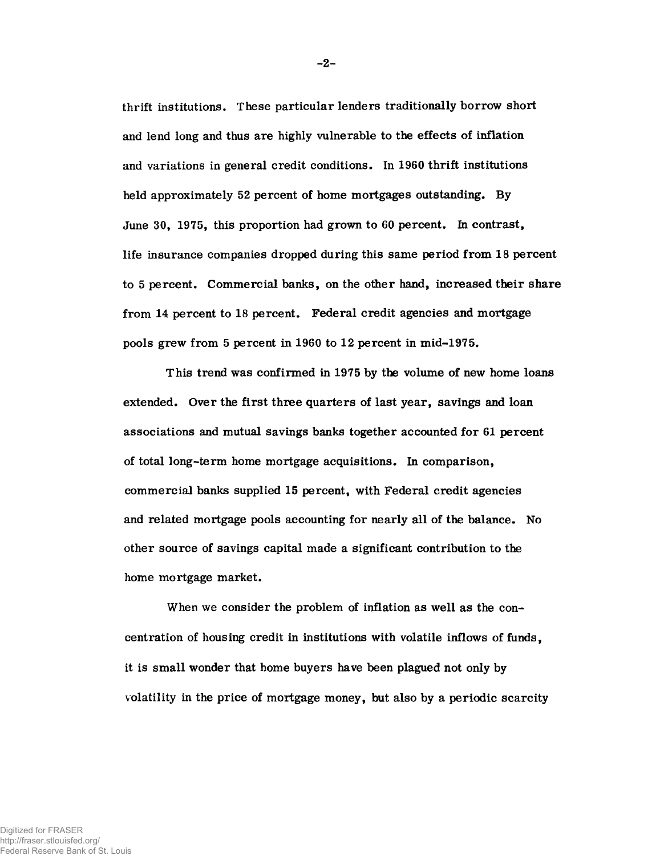**thrift institutions. These particular lenders traditionally borrow short and lend long and thus are highly vulnerable to the effects of inflation and variations in general credit conditions. In 1960 thrift institutions held approximately 52 percent of home mortgages outstanding. By June 30, 1975, this proportion had grown to 60 percent. In contrast, life insurance companies dropped during this same period from 18 percent to 5 percent. Commercial banks, on the other hand, increased their share from 14 percent to 18 percent. Federal credit agencies and mortgage pools grew from 5 percent in 1960 to 12 percent in mid-1975.**

**This trend was confirmed in 1975 by the volume of new home loans extended. Over the first three quarters of last year, savings and loan associations and mutual savings banks together accounted for 61 percent of total long-term home mortgage acquisitions. In comparison, commercial banks supplied 15 percent, with Federal credit agencies and related mortgage pools accounting for nearly all of the balance. No other source of savings capital made a significant contribution to the home mortgage market.**

**When we consider the problem of inflation as well as the concentration of housing credit in institutions with volatile inflows of funds, it is small wonder that home buyers have been plagued not only by volatility in the price of mortgage money, but also by a periodic scarcity**

- **2**-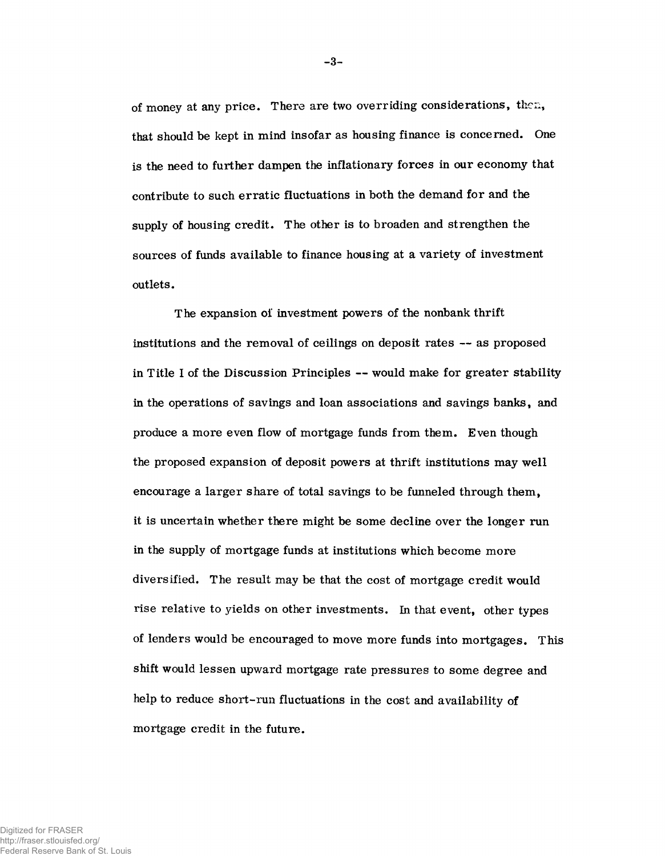of money at any price. There are two overriding considerations, then, that should be kept in mind insofar as housing finance is concerned. One is the need to further dampen the inflationary forces in our economy that contribute to such erratic fluctuations in both the demand for and the supply of housing credit. The other is to broaden and strengthen the sources of funds available to finance housing at a variety of investment outlets.

The expansion of investment powers of the nonbank thrift institutions and the removal of ceilings on deposit rates — as proposed in Title I of the Discussion Principles — would make for greater stability in the operations of savings and loan associations and savings banks, and produce a more even flow of mortgage funds from them. Even though the proposed expansion of deposit powers at thrift institutions may well encourage a larger share of total savings to be funneled through them, it is uncertain whether there might be some decline over the longer run in the supply of mortgage funds at institutions which become more diversified. The result may be that the cost of mortgage credit would rise relative to yields on other investments. In that event, other types of lenders would be encouraged to move more funds into mortgages. This shift would lessen upward mortgage rate pressures to some degree and help to reduce short-run fluctuations in the cost and availability of mortgage credit in the future.

- **3**-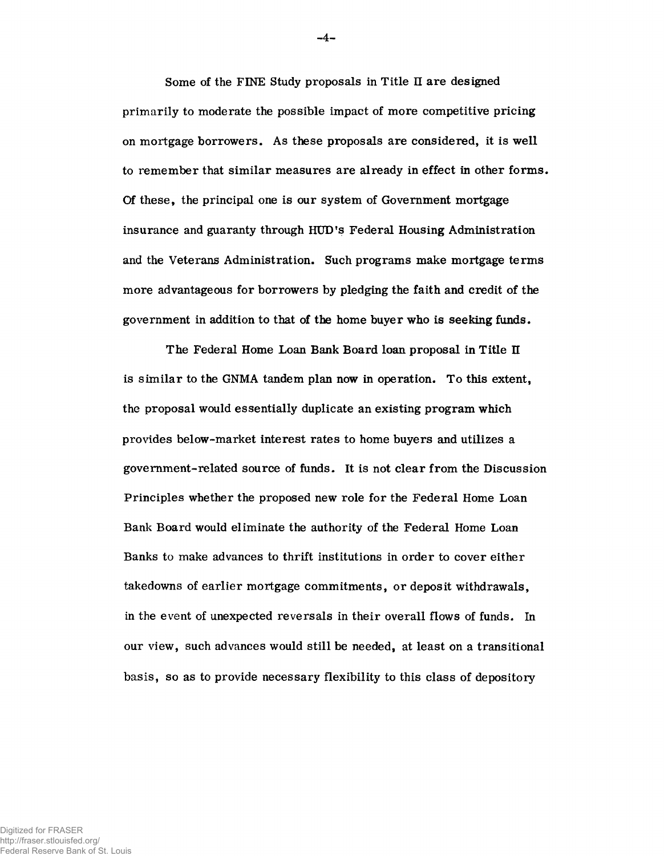Some of the FINE Study proposals in Title II are designed primarily to moderate the possible impact of more competitive pricing on mortgage borrowers. As these proposals are considered, it is well to remember that similar measures are already in effect in other forms. Of these, the principal one is our system of Government mortgage insurance and guaranty through HDD's Federal Housing Administration and the Veterans Administration. Such programs make mortgage terms more advantageous for borrowers by pledging the faith and credit of the government in addition to that of the home buyer who is seeking funds.

The Federal Home Loan Bank Board loan proposal in Title II is sim ilar to the GNMA tandem plan now in operation. To this extent, the proposal would essentially duplicate an existing program which provides below-market interest rates to home buyers and utilizes a government-related source of funds. It is not clear from the Discussion Principles whether the proposed new role for the Federal Home Loan Bank Board would eliminate the authority of the Federal Home Loan Banks to make advances to thrift institutions in order to cover either takedowns of earlier mortgage commitments, or deposit withdrawals, in the event of unexpected reversals in their overall flows of funds. In our view, such advances would still be needed, at least on a transitional basis, so as to provide necessary flexibility to this class of depository

**-4 -**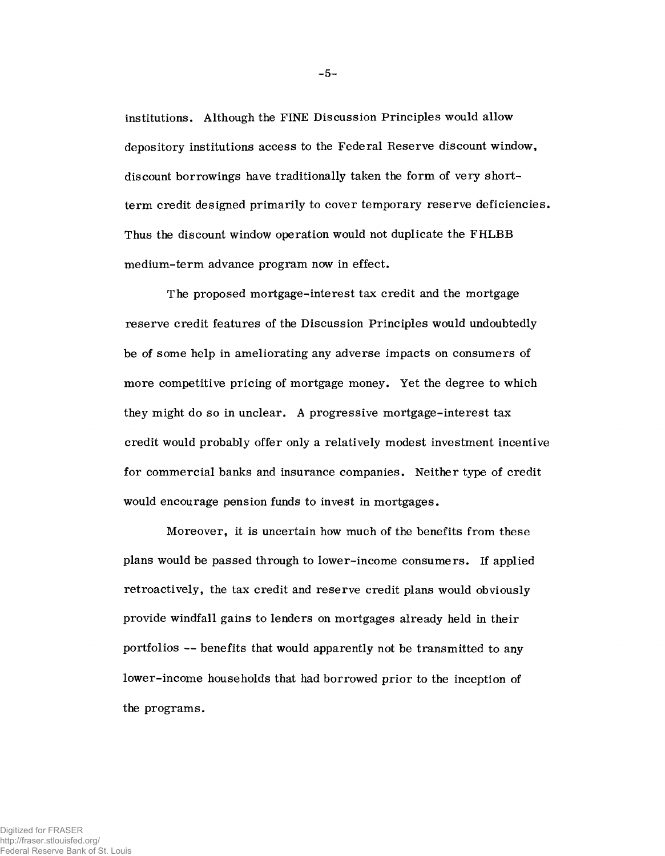institutions. Although the FINE Discussion Principles would allow depository institutions access to the Federal Reserve discount window, discount borrowings have traditionally taken the form of very shortterm credit designed primarily to cover temporary reserve deficiencies. Thus the discount window operation would not duplicate the FHLBB medium-term advance program now in effect.

The proposed mortgage-interest tax credit and the mortgage reserve credit features of the Discussion Principles would undoubtedly be of some help in ameliorating any adverse impacts on consumers of more competitive pricing of mortgage money. Yet the degree to which they might do so in unclear. A progressive mortgage-interest tax credit would probably offer only a relatively modest investment incentive for commercial banks and insurance companies. Neither type of credit would encourage pension funds to invest in mortgages.

Moreover, it is uncertain how much of the benefits from these plans would be passed through to lower-income consumers. If applied retroactively, the tax credit and reserve credit plans would obviously provide windfall gains to lenders on mortgages already held in their portfolios — benefits that would apparently not be transmitted to any lower-income households that had borrowed prior to the inception of the programs.

**-5 -**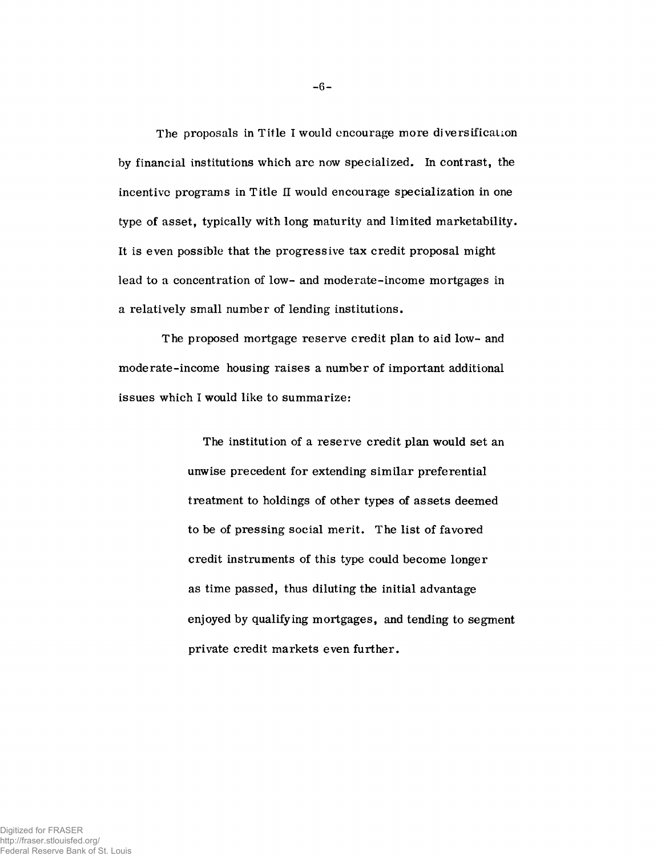The proposals in Title I would encourage more diversification by financial institutions which are now specialized. In contrast, the incentive programs in Title II would encourage specialization in one type of asset, typically with long maturity and limited marketability. It is even possible that the progressive tax credit proposal might lead to a concentration of low- and moderate-income mortgages in a relatively small number of lending institutions.

The proposed mortgage reserve credit plan to aid low- and moderate-income housing raises a number of important additional issues which I would like to summarize:

> The institution of a reserve credit plan would set an unwise precedent for extending similar preferential treatment to holdings of other types of assets deemed to be of pressing social merit. The list of favored credit instruments of this type could become longer as time passed, thus diluting the initial advantage enjoyed by qualifying mortgages, and tending to segment private credit markets even further.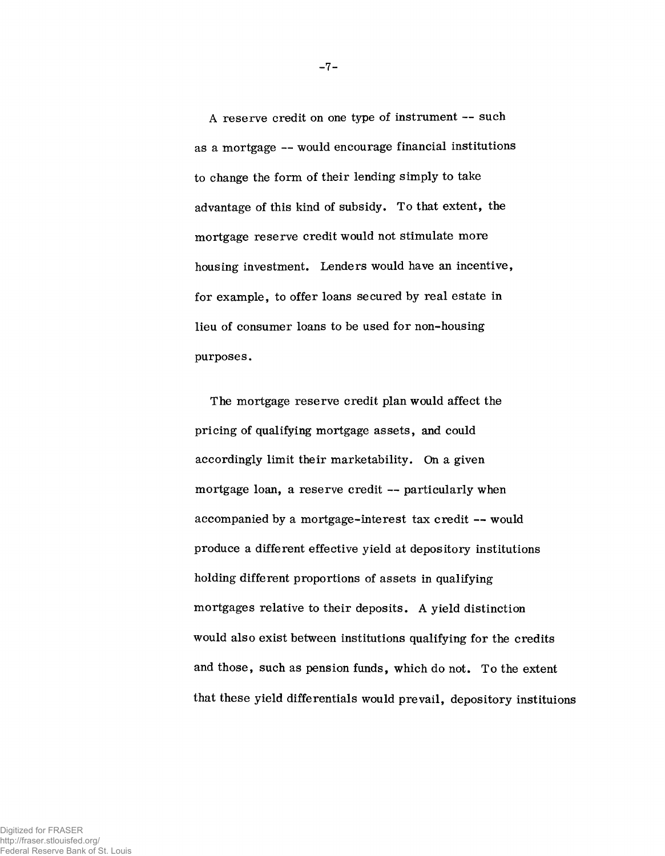A reserve credit on one type of instrument — such as a mortgage — would encourage financial institutions to change the form of their lending simply to take advantage of this kind of subsidy. To that extent, the mortgage reserve credit would not stimulate more housing investment. Lenders would have an incentive, for example, to offer loans secured by real estate in lieu of consumer loans to be used for non-housing purposes.

The mortgage reserve credit plan would affect the pricing of qualifying mortgage assets, and could accordingly limit their marketability. On a given mortgage loan, a reserve credit — particularly when accompanied by a mortgage-interest tax credit — would produce a different effective yield at depository institutions holding different proportions of assets in qualifying mortgages relative to their deposits. A yield distinction would also exist between institutions qualifying for the credits and those, such as pension funds, which do not. To the extent that these yield differentials would prevail, depository instituions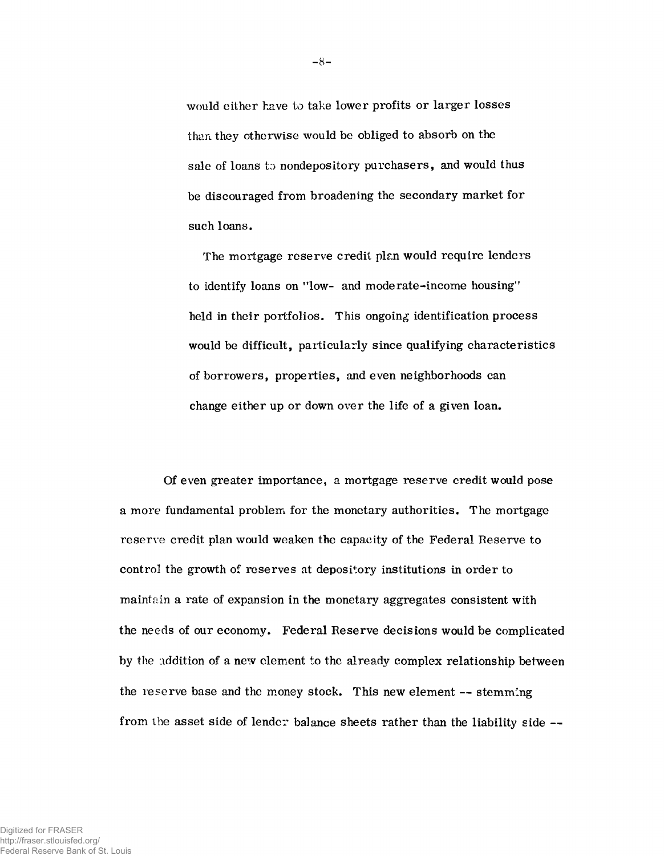would either have to take lower profits or larger losses than they otherwise would be obliged to absorb on the sale of loans to nondepository purchasers, and would thus be discouraged from broadening the secondary market for such loans.

The mortgage reserve credit plan would require lenders to identify loans on "low- and moderate-income housing" held in their portfolios. This ongoing identification process would be difficult, particularly since qualifying characteristics of borrowers, properties, and even neighborhoods can change either up or down over the life of a given loan.

Of even greater importance, a mortgage reserve credit would pose a more fundamental problem for the monetary authorities. The mortgage reserve credit plan would weaken the capacity of the Federal Reserve to control the growth of reserves at depository institutions in order to maintain a rate of expansion in the monetary aggregates consistent with the needs of our economy. Federal Reserve decisions would be complicated by the addition of a new element to the already complex relationship between the reserve base and the money stock. This new element — stemming from the asset side of lender balance sheets rather than the liability side —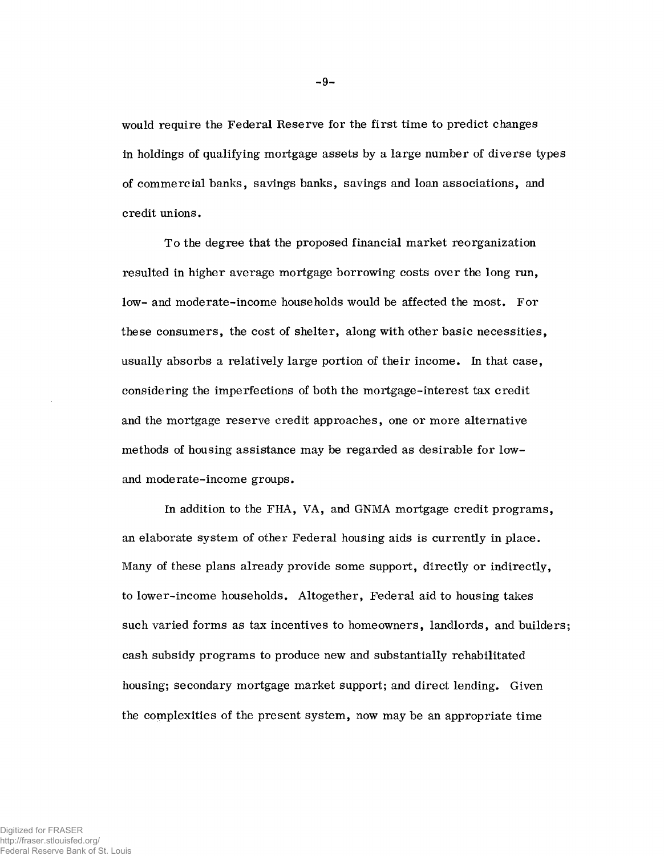would require the Federal Reserve for the first time to predict changes in holdings of qualifying mortgage assets by a large number of diverse types of commercial banks, savings banks, savings and loan associations, and credit unions.

To the degree that the proposed financial market reorganization resulted in higher average mortgage borrowing costs over the long run, low- and moderate-income households would be affected the most. For these consumers, the cost of shelter, along with other basic necessities, usually absorbs a relatively large portion of their income. In that case, considering the imperfections of both the mortgage-interest tax credit and the mortgage reserve credit approaches, one or more alternative methods of housing assistance may be regarded as desirable for lowand moderate-income groups.

In addition to the FHA, VA, and GNMA mortgage credit programs, an elaborate system of other Federal housing aids is currently in place. Many of these plans already provide some support, directly or indirectly, to lower-income households. Altogether, Federal aid to housing takes such varied forms as tax incentives to homeowners, landlords, and builders; cash subsidy programs to produce new and substantially rehabilitated housing; secondary mortgage market support; and direct lending. Given the complexities of the present system, now may be an appropriate time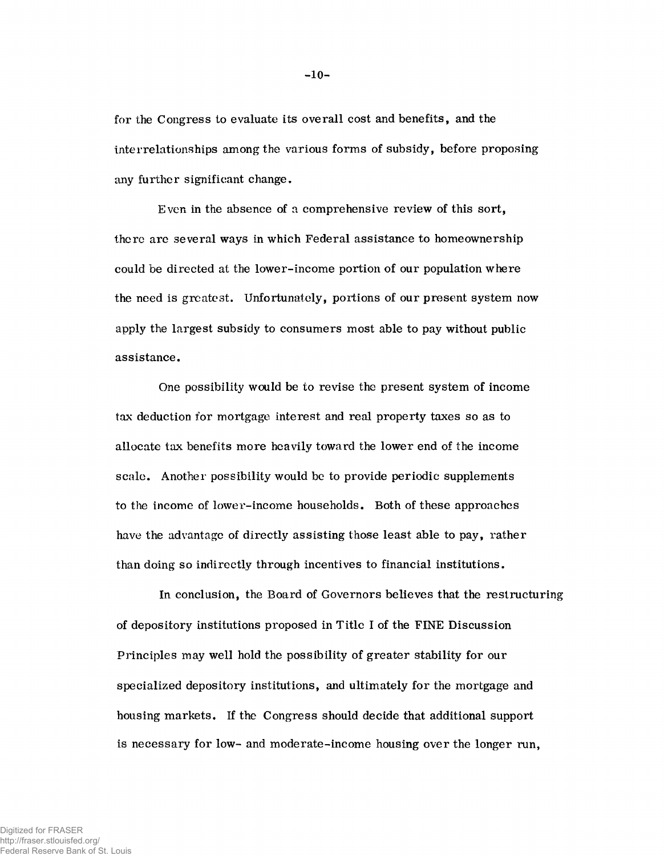for the Congress to evaluate its overall cost and benefits, and the interrelationships among the various forms of subsidy, before proposing any further significant change.

Even in the absence of a comprehensive review of this sort, there are several ways in which Federal assistance to homeownership could be directed at the lower-income portion of our population where the need is greatest. Unfortunately, portions of our present system now apply the largest subsidy to consumers most able to pay without public assistance.

One possibility would be to revise the present system of income tax deduction tor mortgage interest and real property taxes so as to allocate tax benefits more heavily toward the lower end of the income scale. Another possibility would be to provide periodic supplements to the income of lower-income households. Both of these approaches have the advantage of directly assisting those least able to pay, rather than doing so indirectly through incentives to financial institutions.

In conclusion, the Board of Governors believes that the restructuring of depository institutions proposed in Title I of the FINE Discussion Principles may well hold the possibility of greater stability for our specialized depository institutions, and ultimately for the mortgage and housing markets. If the Congress should decide that additional support is necessary for low- and moderate-income housing over the longer run,